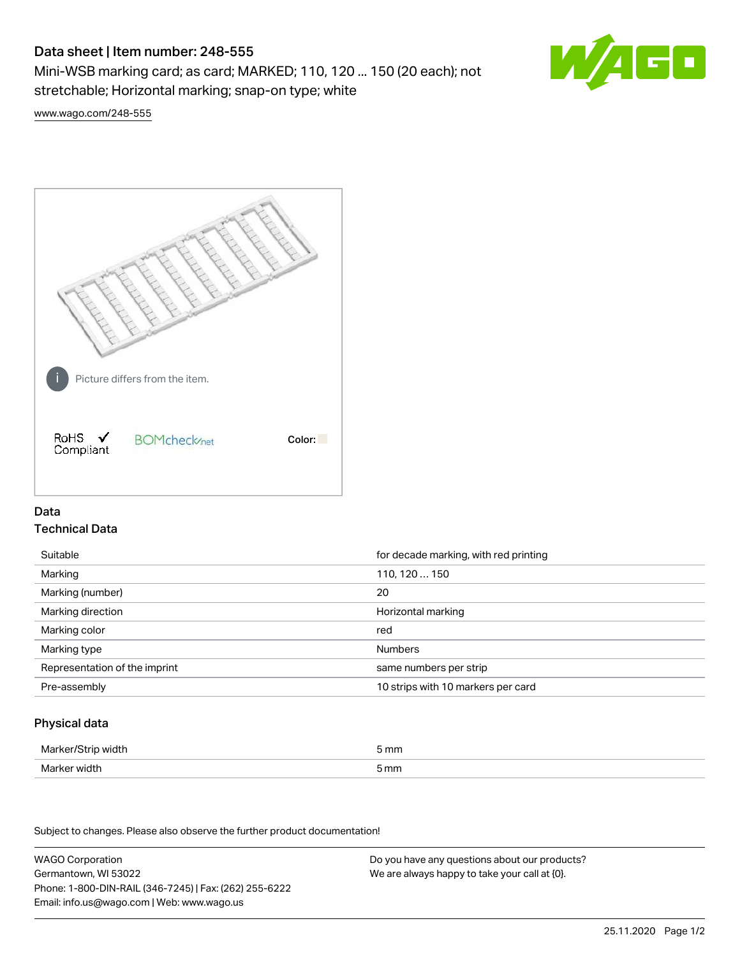# Data sheet | Item number: 248-555

Mini-WSB marking card; as card; MARKED; 110, 120 ... 150 (20 each); not stretchable; Horizontal marking; snap-on type; white



[www.wago.com/248-555](http://www.wago.com/248-555)



## Data Technical Data

| Suitable                      | for decade marking, with red printing |
|-------------------------------|---------------------------------------|
| Marking                       | 110, 120  150                         |
| Marking (number)              | 20                                    |
| Marking direction             | Horizontal marking                    |
| Marking color                 | red                                   |
| Marking type                  | <b>Numbers</b>                        |
| Representation of the imprint | same numbers per strip                |
| Pre-assembly                  | 10 strips with 10 markers per card    |

### Physical data

| Marker/Strip width | 5 mm |
|--------------------|------|
| Marker width       | 5 mm |

Subject to changes. Please also observe the further product documentation!

WAGO Corporation Germantown, WI 53022 Phone: 1-800-DIN-RAIL (346-7245) | Fax: (262) 255-6222 Email: info.us@wago.com | Web: www.wago.us Do you have any questions about our products? We are always happy to take your call at {0}.